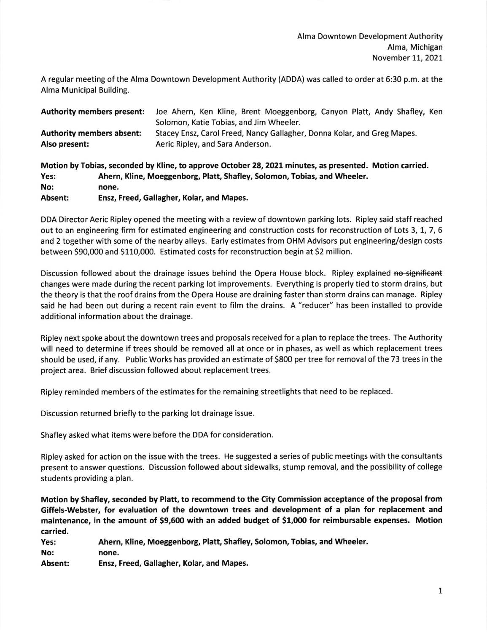A regular meeting of the Alma Downtown Development Authority (ADDA) was called to order at 6:30 p.m. at the Alma Municipal Building.

|                                  | <b>Authority members present:</b> | Joe Ahern, Ken Kline, Brent Moeggenborg, Canyon Platt, Andy Shafley, Ken                                |
|----------------------------------|-----------------------------------|---------------------------------------------------------------------------------------------------------|
|                                  |                                   | Solomon, Katie Tobias, and Jim Wheeler.                                                                 |
| <b>Authority members absent:</b> |                                   | Stacey Ensz, Carol Freed, Nancy Gallagher, Donna Kolar, and Greg Mapes.                                 |
| Also present:                    |                                   | Aeric Ripley, and Sara Anderson.                                                                        |
|                                  |                                   | Motion by Tobias, seconded by Kline, to approve October 28, 2021 minutes, as presented. Motion carried. |
| Yes:                             |                                   | Ahern, Kline, Moeggenborg, Platt, Shafley, Solomon, Tobias, and Wheeler.                                |
| No:                              | none.                             |                                                                                                         |
|                                  |                                   |                                                                                                         |

Absent: Ensz, Freed, Gallagher, Kolar, and Mapes.

DDA Director Aeric Ripley opened the meeting with a review of downtown parking lots. Ripley said staff reached out to an engineering firm for estimated engineering and construction costs for reconstruction of Lots 3, 1, 7, 6 and 2 together with some of the nearby alleys. Early estimates from OHM Advisors put engineering/design costs between 590,000 and 5110,000. Estimated costs for reconstruction begin at 52 million.

Discussion followed about the drainage issues behind the Opera House block. Ripley explained no significant changes were made during the recent parking lot improvements. Everything is properly tied to storm drains, but the theory is that the roof drains from the Opera House are draining faster than storm drains can manage. Ripley said he had been out during a recent rain event to film the drains. A "reducer" has been installed to provide additional information about the drainage.

Ripley next spoke about the downtown trees and proposals received for a plan to replace the trees. The Authority will need to determine if trees should be removed all at once or in phases, as well as which replacement trees should be used, if any. Public Works has provided an estimate of 5800 per tree for removal of the 73 trees in the project area. Brief discussion followed about replacement trees.

Ripley reminded members of the estimates for the remaining streetlights that need to be replaced

Discussion returned briefly to the parking lot drainage issue.

Shafley asked what items were before the DDA for consideration.

Ripley asked for action on the issue with the trees. He suggested a series of public meetings with the consultants present to answer questions. Discussion followed about sidewalks, stump removal, and the possibility of college students providing a plan.

Motion by Shafley, seconded by Platt, to recommend to the City Commission acceptance of the proposal from Giffels-Webster, for evaluation of the downtown trees and development of a plan for replacement and maintenance, in the amount of 59,600 with an added budget of 51,000 for reimbursable expenses. Motion carried.

| Yes:    | Ahern, Kline, Moeggenborg, Platt, Shafley, Solomon, Tobias, and Wheeler. |  |
|---------|--------------------------------------------------------------------------|--|
| No:     | none.                                                                    |  |
| Absent: | Ensz, Freed, Gallagher, Kolar, and Mapes.                                |  |